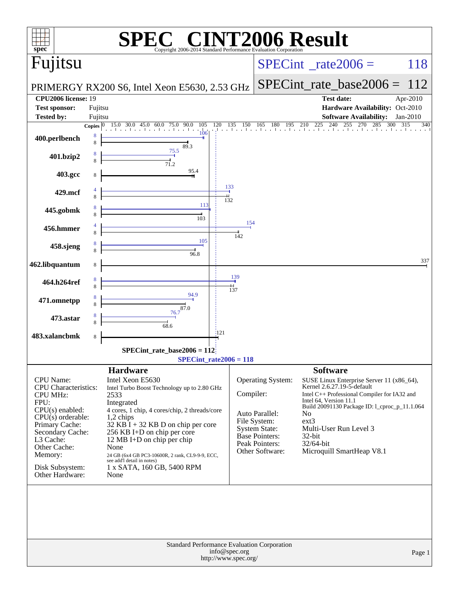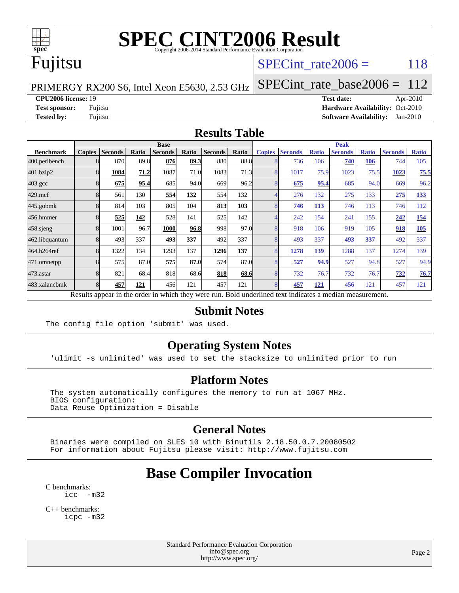

### Fujitsu

#### SPECint rate $2006 = 118$

PRIMERGY RX200 S6, Intel Xeon E5630, 2.53 GHz

[SPECint\\_rate\\_base2006 =](http://www.spec.org/auto/cpu2006/Docs/result-fields.html#SPECintratebase2006) 112

#### **[CPU2006 license:](http://www.spec.org/auto/cpu2006/Docs/result-fields.html#CPU2006license)** 19 **[Test date:](http://www.spec.org/auto/cpu2006/Docs/result-fields.html#Testdate)** Apr-2010

**[Test sponsor:](http://www.spec.org/auto/cpu2006/Docs/result-fields.html#Testsponsor)** Fujitsu **[Hardware Availability:](http://www.spec.org/auto/cpu2006/Docs/result-fields.html#HardwareAvailability)** Oct-2010 **[Tested by:](http://www.spec.org/auto/cpu2006/Docs/result-fields.html#Testedby)** Fujitsu **[Software Availability:](http://www.spec.org/auto/cpu2006/Docs/result-fields.html#SoftwareAvailability)** Jan-2010

#### **[Results Table](http://www.spec.org/auto/cpu2006/Docs/result-fields.html#ResultsTable)**

|                    | <b>Base</b>   |                |       |                |       |                |       | <b>Peak</b>   |                |              |                |              |                |              |
|--------------------|---------------|----------------|-------|----------------|-------|----------------|-------|---------------|----------------|--------------|----------------|--------------|----------------|--------------|
| <b>Benchmark</b>   | <b>Copies</b> | <b>Seconds</b> | Ratio | <b>Seconds</b> | Ratio | <b>Seconds</b> | Ratio | <b>Copies</b> | <b>Seconds</b> | <b>Ratio</b> | <b>Seconds</b> | <b>Ratio</b> | <b>Seconds</b> | <b>Ratio</b> |
| 400.perlbench      |               | 870            | 89.8  | 876            | 89.3  | 880            | 88.8  |               | 736            | 106          | 740            | 106          | 744            | 105          |
| 401.bzip2          |               | 1084           | 71.2  | 1087           | 71.0  | 1083           | 71.3  |               | 1017           | 75.9         | 1023           | 75.5         | 1023           | 75.5         |
| $403.\mathrm{gcc}$ |               | 675            | 95.4  | 685            | 94.0  | 669            | 96.2  |               | 675            | 95.4         | 685            | 94.0         | 669            | 96.2         |
| $429$ .mcf         |               | 561            | 130   | 554            | 132   | 554            | 132   |               | 276            | 132          | 275            | 133          | 275            | 133          |
| $445$ .gobmk       |               | 814            | 103   | 805            | 104   | 813            | 103   |               | 746            | <u>113</u>   | 746            | 113          | 746            | 112          |
| 456.hmmer          |               | 525            | 142   | 528            | 141   | 525            | 142   |               | 242            | 154          | 241            | 155          | 242            | 154          |
| $458$ .sjeng       |               | 1001           | 96.7  | 1000           | 96.8  | 998            | 97.0  |               | 918            | 106          | 919            | 105          | 918            | 105          |
| 462.libquantum     |               | 493            | 337   | 493            | 337   | 492            | 337   |               | 493            | 337          | 493            | 337          | 492            | 337          |
| 464.h264ref        |               | 1322           | 134   | 1293           | 137   | 1296           | 137   |               | 1278           | 139          | 1288           | 137          | 1274           | 139          |
| 471.omnetpp        |               | 575            | 87.0  | 575            | 87.0  | 574            | 87.0  |               | 527            | 94.9         | 527            | 94.8         | 527            | 94.9         |
| $473.$ astar       |               | 821            | 68.4  | 818            | 68.6  | 818            | 68.6  |               | 732            | 76.7         | 732            | 76.7         | 732            | 76.7         |
| 483.xalancbmk      |               | 457            | 121   | 456            | 121   | 457            | 121   |               | 457            | <u>121</u>   | 456            | 121          | 457            | 121          |

Results appear in the [order in which they were run.](http://www.spec.org/auto/cpu2006/Docs/result-fields.html#RunOrder) Bold underlined text [indicates a median measurement.](http://www.spec.org/auto/cpu2006/Docs/result-fields.html#Median)

#### **[Submit Notes](http://www.spec.org/auto/cpu2006/Docs/result-fields.html#SubmitNotes)**

The config file option 'submit' was used.

#### **[Operating System Notes](http://www.spec.org/auto/cpu2006/Docs/result-fields.html#OperatingSystemNotes)**

'ulimit -s unlimited' was used to set the stacksize to unlimited prior to run

#### **[Platform Notes](http://www.spec.org/auto/cpu2006/Docs/result-fields.html#PlatformNotes)**

 The system automatically configures the memory to run at 1067 MHz. BIOS configuration: Data Reuse Optimization = Disable

#### **[General Notes](http://www.spec.org/auto/cpu2006/Docs/result-fields.html#GeneralNotes)**

 Binaries were compiled on SLES 10 with Binutils 2.18.50.0.7.20080502 For information about Fujitsu please visit: <http://www.fujitsu.com>

#### **[Base Compiler Invocation](http://www.spec.org/auto/cpu2006/Docs/result-fields.html#BaseCompilerInvocation)**

[C benchmarks](http://www.spec.org/auto/cpu2006/Docs/result-fields.html#Cbenchmarks): [icc -m32](http://www.spec.org/cpu2006/results/res2010q3/cpu2006-20100706-12339.flags.html#user_CCbase_intel_icc_32bit_5ff4a39e364c98233615fdd38438c6f2)

[C++ benchmarks:](http://www.spec.org/auto/cpu2006/Docs/result-fields.html#CXXbenchmarks) [icpc -m32](http://www.spec.org/cpu2006/results/res2010q3/cpu2006-20100706-12339.flags.html#user_CXXbase_intel_icpc_32bit_4e5a5ef1a53fd332b3c49e69c3330699)

> Standard Performance Evaluation Corporation [info@spec.org](mailto:info@spec.org) <http://www.spec.org/>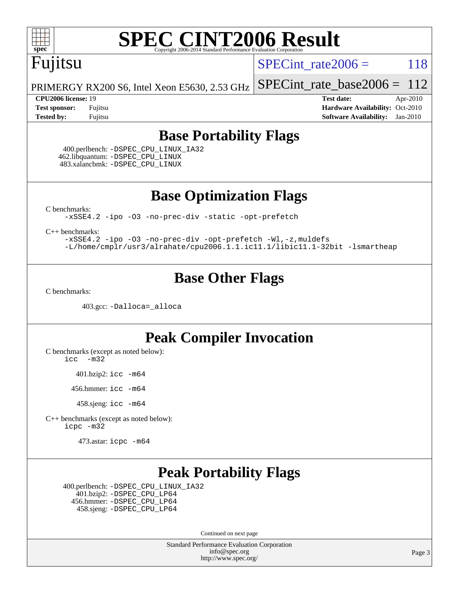![](_page_2_Picture_0.jpeg)

## Fujitsu

SPECint rate $2006 = 118$ 

[SPECint\\_rate\\_base2006 =](http://www.spec.org/auto/cpu2006/Docs/result-fields.html#SPECintratebase2006)  $112$ 

PRIMERGY RX200 S6, Intel Xeon E5630, 2.53 GHz

**[CPU2006 license:](http://www.spec.org/auto/cpu2006/Docs/result-fields.html#CPU2006license)** 19 **[Test date:](http://www.spec.org/auto/cpu2006/Docs/result-fields.html#Testdate)** Apr-2010 **[Test sponsor:](http://www.spec.org/auto/cpu2006/Docs/result-fields.html#Testsponsor)** Fujitsu **[Hardware Availability:](http://www.spec.org/auto/cpu2006/Docs/result-fields.html#HardwareAvailability)** Oct-2010 **[Tested by:](http://www.spec.org/auto/cpu2006/Docs/result-fields.html#Testedby)** Fujitsu **[Software Availability:](http://www.spec.org/auto/cpu2006/Docs/result-fields.html#SoftwareAvailability)** Jan-2010

#### **[Base Portability Flags](http://www.spec.org/auto/cpu2006/Docs/result-fields.html#BasePortabilityFlags)**

 400.perlbench: [-DSPEC\\_CPU\\_LINUX\\_IA32](http://www.spec.org/cpu2006/results/res2010q3/cpu2006-20100706-12339.flags.html#b400.perlbench_baseCPORTABILITY_DSPEC_CPU_LINUX_IA32) 462.libquantum: [-DSPEC\\_CPU\\_LINUX](http://www.spec.org/cpu2006/results/res2010q3/cpu2006-20100706-12339.flags.html#b462.libquantum_baseCPORTABILITY_DSPEC_CPU_LINUX) 483.xalancbmk: [-DSPEC\\_CPU\\_LINUX](http://www.spec.org/cpu2006/results/res2010q3/cpu2006-20100706-12339.flags.html#b483.xalancbmk_baseCXXPORTABILITY_DSPEC_CPU_LINUX)

**[Base Optimization Flags](http://www.spec.org/auto/cpu2006/Docs/result-fields.html#BaseOptimizationFlags)**

[C benchmarks](http://www.spec.org/auto/cpu2006/Docs/result-fields.html#Cbenchmarks):

[-xSSE4.2](http://www.spec.org/cpu2006/results/res2010q3/cpu2006-20100706-12339.flags.html#user_CCbase_f-xSSE42_f91528193cf0b216347adb8b939d4107) [-ipo](http://www.spec.org/cpu2006/results/res2010q3/cpu2006-20100706-12339.flags.html#user_CCbase_f-ipo) [-O3](http://www.spec.org/cpu2006/results/res2010q3/cpu2006-20100706-12339.flags.html#user_CCbase_f-O3) [-no-prec-div](http://www.spec.org/cpu2006/results/res2010q3/cpu2006-20100706-12339.flags.html#user_CCbase_f-no-prec-div) [-static](http://www.spec.org/cpu2006/results/res2010q3/cpu2006-20100706-12339.flags.html#user_CCbase_f-static) [-opt-prefetch](http://www.spec.org/cpu2006/results/res2010q3/cpu2006-20100706-12339.flags.html#user_CCbase_f-opt-prefetch)

[C++ benchmarks:](http://www.spec.org/auto/cpu2006/Docs/result-fields.html#CXXbenchmarks)

[-xSSE4.2](http://www.spec.org/cpu2006/results/res2010q3/cpu2006-20100706-12339.flags.html#user_CXXbase_f-xSSE42_f91528193cf0b216347adb8b939d4107) [-ipo](http://www.spec.org/cpu2006/results/res2010q3/cpu2006-20100706-12339.flags.html#user_CXXbase_f-ipo) [-O3](http://www.spec.org/cpu2006/results/res2010q3/cpu2006-20100706-12339.flags.html#user_CXXbase_f-O3) [-no-prec-div](http://www.spec.org/cpu2006/results/res2010q3/cpu2006-20100706-12339.flags.html#user_CXXbase_f-no-prec-div) [-opt-prefetch](http://www.spec.org/cpu2006/results/res2010q3/cpu2006-20100706-12339.flags.html#user_CXXbase_f-opt-prefetch) [-Wl,-z,muldefs](http://www.spec.org/cpu2006/results/res2010q3/cpu2006-20100706-12339.flags.html#user_CXXbase_link_force_multiple1_74079c344b956b9658436fd1b6dd3a8a) [-L/home/cmplr/usr3/alrahate/cpu2006.1.1.ic11.1/libic11.1-32bit -lsmartheap](http://www.spec.org/cpu2006/results/res2010q3/cpu2006-20100706-12339.flags.html#user_CXXbase_SmartHeap_d86dffe4a79b79ef8890d5cce17030c3)

#### **[Base Other Flags](http://www.spec.org/auto/cpu2006/Docs/result-fields.html#BaseOtherFlags)**

[C benchmarks](http://www.spec.org/auto/cpu2006/Docs/result-fields.html#Cbenchmarks):

403.gcc: [-Dalloca=\\_alloca](http://www.spec.org/cpu2006/results/res2010q3/cpu2006-20100706-12339.flags.html#b403.gcc_baseEXTRA_CFLAGS_Dalloca_be3056838c12de2578596ca5467af7f3)

#### **[Peak Compiler Invocation](http://www.spec.org/auto/cpu2006/Docs/result-fields.html#PeakCompilerInvocation)**

[C benchmarks \(except as noted below\)](http://www.spec.org/auto/cpu2006/Docs/result-fields.html#Cbenchmarksexceptasnotedbelow):

[icc -m32](http://www.spec.org/cpu2006/results/res2010q3/cpu2006-20100706-12339.flags.html#user_CCpeak_intel_icc_32bit_5ff4a39e364c98233615fdd38438c6f2)

401.bzip2: [icc -m64](http://www.spec.org/cpu2006/results/res2010q3/cpu2006-20100706-12339.flags.html#user_peakCCLD401_bzip2_intel_icc_64bit_bda6cc9af1fdbb0edc3795bac97ada53)

456.hmmer: [icc -m64](http://www.spec.org/cpu2006/results/res2010q3/cpu2006-20100706-12339.flags.html#user_peakCCLD456_hmmer_intel_icc_64bit_bda6cc9af1fdbb0edc3795bac97ada53)

458.sjeng: [icc -m64](http://www.spec.org/cpu2006/results/res2010q3/cpu2006-20100706-12339.flags.html#user_peakCCLD458_sjeng_intel_icc_64bit_bda6cc9af1fdbb0edc3795bac97ada53)

[C++ benchmarks \(except as noted below\):](http://www.spec.org/auto/cpu2006/Docs/result-fields.html#CXXbenchmarksexceptasnotedbelow) [icpc -m32](http://www.spec.org/cpu2006/results/res2010q3/cpu2006-20100706-12339.flags.html#user_CXXpeak_intel_icpc_32bit_4e5a5ef1a53fd332b3c49e69c3330699)

473.astar: [icpc -m64](http://www.spec.org/cpu2006/results/res2010q3/cpu2006-20100706-12339.flags.html#user_peakCXXLD473_astar_intel_icpc_64bit_fc66a5337ce925472a5c54ad6a0de310)

#### **[Peak Portability Flags](http://www.spec.org/auto/cpu2006/Docs/result-fields.html#PeakPortabilityFlags)**

 400.perlbench: [-DSPEC\\_CPU\\_LINUX\\_IA32](http://www.spec.org/cpu2006/results/res2010q3/cpu2006-20100706-12339.flags.html#b400.perlbench_peakCPORTABILITY_DSPEC_CPU_LINUX_IA32) 401.bzip2: [-DSPEC\\_CPU\\_LP64](http://www.spec.org/cpu2006/results/res2010q3/cpu2006-20100706-12339.flags.html#suite_peakCPORTABILITY401_bzip2_DSPEC_CPU_LP64) 456.hmmer: [-DSPEC\\_CPU\\_LP64](http://www.spec.org/cpu2006/results/res2010q3/cpu2006-20100706-12339.flags.html#suite_peakCPORTABILITY456_hmmer_DSPEC_CPU_LP64) 458.sjeng: [-DSPEC\\_CPU\\_LP64](http://www.spec.org/cpu2006/results/res2010q3/cpu2006-20100706-12339.flags.html#suite_peakCPORTABILITY458_sjeng_DSPEC_CPU_LP64)

Continued on next page

Standard Performance Evaluation Corporation [info@spec.org](mailto:info@spec.org) <http://www.spec.org/>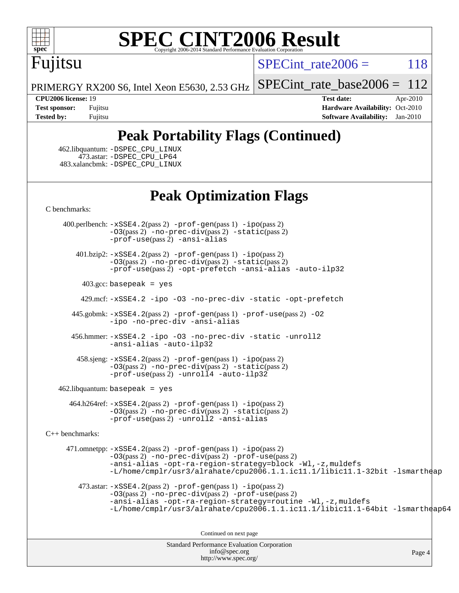![](_page_3_Picture_0.jpeg)

# Fujitsu

SPECint rate $2006 = 118$ 

[SPECint\\_rate\\_base2006 =](http://www.spec.org/auto/cpu2006/Docs/result-fields.html#SPECintratebase2006)  $112$ 

PRIMERGY RX200 S6, Intel Xeon E5630, 2.53 GHz

**[CPU2006 license:](http://www.spec.org/auto/cpu2006/Docs/result-fields.html#CPU2006license)** 19 **[Test date:](http://www.spec.org/auto/cpu2006/Docs/result-fields.html#Testdate)** Apr-2010 **[Test sponsor:](http://www.spec.org/auto/cpu2006/Docs/result-fields.html#Testsponsor)** Fujitsu **[Hardware Availability:](http://www.spec.org/auto/cpu2006/Docs/result-fields.html#HardwareAvailability)** Oct-2010 **[Tested by:](http://www.spec.org/auto/cpu2006/Docs/result-fields.html#Testedby)** Fujitsu **[Software Availability:](http://www.spec.org/auto/cpu2006/Docs/result-fields.html#SoftwareAvailability)** Jan-2010

### **[Peak Portability Flags \(Continued\)](http://www.spec.org/auto/cpu2006/Docs/result-fields.html#PeakPortabilityFlags)**

 462.libquantum: [-DSPEC\\_CPU\\_LINUX](http://www.spec.org/cpu2006/results/res2010q3/cpu2006-20100706-12339.flags.html#b462.libquantum_peakCPORTABILITY_DSPEC_CPU_LINUX) 473.astar: [-DSPEC\\_CPU\\_LP64](http://www.spec.org/cpu2006/results/res2010q3/cpu2006-20100706-12339.flags.html#suite_peakCXXPORTABILITY473_astar_DSPEC_CPU_LP64) 483.xalancbmk: [-DSPEC\\_CPU\\_LINUX](http://www.spec.org/cpu2006/results/res2010q3/cpu2006-20100706-12339.flags.html#b483.xalancbmk_peakCXXPORTABILITY_DSPEC_CPU_LINUX)

#### **[Peak Optimization Flags](http://www.spec.org/auto/cpu2006/Docs/result-fields.html#PeakOptimizationFlags)**

[C benchmarks](http://www.spec.org/auto/cpu2006/Docs/result-fields.html#Cbenchmarks):

 400.perlbench: [-xSSE4.2](http://www.spec.org/cpu2006/results/res2010q3/cpu2006-20100706-12339.flags.html#user_peakPASS2_CFLAGSPASS2_LDCFLAGS400_perlbench_f-xSSE42_f91528193cf0b216347adb8b939d4107)(pass 2) [-prof-gen](http://www.spec.org/cpu2006/results/res2010q3/cpu2006-20100706-12339.flags.html#user_peakPASS1_CFLAGSPASS1_LDCFLAGS400_perlbench_prof_gen_e43856698f6ca7b7e442dfd80e94a8fc)(pass 1) [-ipo](http://www.spec.org/cpu2006/results/res2010q3/cpu2006-20100706-12339.flags.html#user_peakPASS2_CFLAGSPASS2_LDCFLAGS400_perlbench_f-ipo)(pass 2) [-O3](http://www.spec.org/cpu2006/results/res2010q3/cpu2006-20100706-12339.flags.html#user_peakPASS2_CFLAGSPASS2_LDCFLAGS400_perlbench_f-O3)(pass 2) [-no-prec-div](http://www.spec.org/cpu2006/results/res2010q3/cpu2006-20100706-12339.flags.html#user_peakPASS2_CFLAGSPASS2_LDCFLAGS400_perlbench_f-no-prec-div)(pass 2) [-static](http://www.spec.org/cpu2006/results/res2010q3/cpu2006-20100706-12339.flags.html#user_peakPASS2_CFLAGSPASS2_LDCFLAGS400_perlbench_f-static)(pass 2) [-prof-use](http://www.spec.org/cpu2006/results/res2010q3/cpu2006-20100706-12339.flags.html#user_peakPASS2_CFLAGSPASS2_LDCFLAGS400_perlbench_prof_use_bccf7792157ff70d64e32fe3e1250b55)(pass 2) [-ansi-alias](http://www.spec.org/cpu2006/results/res2010q3/cpu2006-20100706-12339.flags.html#user_peakCOPTIMIZE400_perlbench_f-ansi-alias)

 401.bzip2: [-xSSE4.2](http://www.spec.org/cpu2006/results/res2010q3/cpu2006-20100706-12339.flags.html#user_peakPASS2_CFLAGSPASS2_LDCFLAGS401_bzip2_f-xSSE42_f91528193cf0b216347adb8b939d4107)(pass 2) [-prof-gen](http://www.spec.org/cpu2006/results/res2010q3/cpu2006-20100706-12339.flags.html#user_peakPASS1_CFLAGSPASS1_LDCFLAGS401_bzip2_prof_gen_e43856698f6ca7b7e442dfd80e94a8fc)(pass 1) [-ipo](http://www.spec.org/cpu2006/results/res2010q3/cpu2006-20100706-12339.flags.html#user_peakPASS2_CFLAGSPASS2_LDCFLAGS401_bzip2_f-ipo)(pass 2) [-O3](http://www.spec.org/cpu2006/results/res2010q3/cpu2006-20100706-12339.flags.html#user_peakPASS2_CFLAGSPASS2_LDCFLAGS401_bzip2_f-O3)(pass 2) [-no-prec-div](http://www.spec.org/cpu2006/results/res2010q3/cpu2006-20100706-12339.flags.html#user_peakPASS2_CFLAGSPASS2_LDCFLAGS401_bzip2_f-no-prec-div)(pass 2) [-static](http://www.spec.org/cpu2006/results/res2010q3/cpu2006-20100706-12339.flags.html#user_peakPASS2_CFLAGSPASS2_LDCFLAGS401_bzip2_f-static)(pass 2) [-prof-use](http://www.spec.org/cpu2006/results/res2010q3/cpu2006-20100706-12339.flags.html#user_peakPASS2_CFLAGSPASS2_LDCFLAGS401_bzip2_prof_use_bccf7792157ff70d64e32fe3e1250b55)(pass 2) [-opt-prefetch](http://www.spec.org/cpu2006/results/res2010q3/cpu2006-20100706-12339.flags.html#user_peakCOPTIMIZE401_bzip2_f-opt-prefetch) [-ansi-alias](http://www.spec.org/cpu2006/results/res2010q3/cpu2006-20100706-12339.flags.html#user_peakCOPTIMIZE401_bzip2_f-ansi-alias) [-auto-ilp32](http://www.spec.org/cpu2006/results/res2010q3/cpu2006-20100706-12339.flags.html#user_peakCOPTIMIZE401_bzip2_f-auto-ilp32)

 $403.\text{gcc: basepeak}$  = yes

429.mcf: [-xSSE4.2](http://www.spec.org/cpu2006/results/res2010q3/cpu2006-20100706-12339.flags.html#user_peakCOPTIMIZE429_mcf_f-xSSE42_f91528193cf0b216347adb8b939d4107) [-ipo](http://www.spec.org/cpu2006/results/res2010q3/cpu2006-20100706-12339.flags.html#user_peakCOPTIMIZE429_mcf_f-ipo) [-O3](http://www.spec.org/cpu2006/results/res2010q3/cpu2006-20100706-12339.flags.html#user_peakCOPTIMIZE429_mcf_f-O3) [-no-prec-div](http://www.spec.org/cpu2006/results/res2010q3/cpu2006-20100706-12339.flags.html#user_peakCOPTIMIZE429_mcf_f-no-prec-div) [-static](http://www.spec.org/cpu2006/results/res2010q3/cpu2006-20100706-12339.flags.html#user_peakCOPTIMIZE429_mcf_f-static) [-opt-prefetch](http://www.spec.org/cpu2006/results/res2010q3/cpu2006-20100706-12339.flags.html#user_peakCOPTIMIZE429_mcf_f-opt-prefetch)

 445.gobmk: [-xSSE4.2](http://www.spec.org/cpu2006/results/res2010q3/cpu2006-20100706-12339.flags.html#user_peakPASS2_CFLAGSPASS2_LDCFLAGS445_gobmk_f-xSSE42_f91528193cf0b216347adb8b939d4107)(pass 2) [-prof-gen](http://www.spec.org/cpu2006/results/res2010q3/cpu2006-20100706-12339.flags.html#user_peakPASS1_CFLAGSPASS1_LDCFLAGS445_gobmk_prof_gen_e43856698f6ca7b7e442dfd80e94a8fc)(pass 1) [-prof-use](http://www.spec.org/cpu2006/results/res2010q3/cpu2006-20100706-12339.flags.html#user_peakPASS2_CFLAGSPASS2_LDCFLAGS445_gobmk_prof_use_bccf7792157ff70d64e32fe3e1250b55)(pass 2) [-O2](http://www.spec.org/cpu2006/results/res2010q3/cpu2006-20100706-12339.flags.html#user_peakCOPTIMIZE445_gobmk_f-O2) [-ipo](http://www.spec.org/cpu2006/results/res2010q3/cpu2006-20100706-12339.flags.html#user_peakCOPTIMIZE445_gobmk_f-ipo) [-no-prec-div](http://www.spec.org/cpu2006/results/res2010q3/cpu2006-20100706-12339.flags.html#user_peakCOPTIMIZE445_gobmk_f-no-prec-div) [-ansi-alias](http://www.spec.org/cpu2006/results/res2010q3/cpu2006-20100706-12339.flags.html#user_peakCOPTIMIZE445_gobmk_f-ansi-alias)

 456.hmmer: [-xSSE4.2](http://www.spec.org/cpu2006/results/res2010q3/cpu2006-20100706-12339.flags.html#user_peakCOPTIMIZE456_hmmer_f-xSSE42_f91528193cf0b216347adb8b939d4107) [-ipo](http://www.spec.org/cpu2006/results/res2010q3/cpu2006-20100706-12339.flags.html#user_peakCOPTIMIZE456_hmmer_f-ipo) [-O3](http://www.spec.org/cpu2006/results/res2010q3/cpu2006-20100706-12339.flags.html#user_peakCOPTIMIZE456_hmmer_f-O3) [-no-prec-div](http://www.spec.org/cpu2006/results/res2010q3/cpu2006-20100706-12339.flags.html#user_peakCOPTIMIZE456_hmmer_f-no-prec-div) [-static](http://www.spec.org/cpu2006/results/res2010q3/cpu2006-20100706-12339.flags.html#user_peakCOPTIMIZE456_hmmer_f-static) [-unroll2](http://www.spec.org/cpu2006/results/res2010q3/cpu2006-20100706-12339.flags.html#user_peakCOPTIMIZE456_hmmer_f-unroll_784dae83bebfb236979b41d2422d7ec2) [-ansi-alias](http://www.spec.org/cpu2006/results/res2010q3/cpu2006-20100706-12339.flags.html#user_peakCOPTIMIZE456_hmmer_f-ansi-alias) [-auto-ilp32](http://www.spec.org/cpu2006/results/res2010q3/cpu2006-20100706-12339.flags.html#user_peakCOPTIMIZE456_hmmer_f-auto-ilp32)

 458.sjeng: [-xSSE4.2](http://www.spec.org/cpu2006/results/res2010q3/cpu2006-20100706-12339.flags.html#user_peakPASS2_CFLAGSPASS2_LDCFLAGS458_sjeng_f-xSSE42_f91528193cf0b216347adb8b939d4107)(pass 2) [-prof-gen](http://www.spec.org/cpu2006/results/res2010q3/cpu2006-20100706-12339.flags.html#user_peakPASS1_CFLAGSPASS1_LDCFLAGS458_sjeng_prof_gen_e43856698f6ca7b7e442dfd80e94a8fc)(pass 1) [-ipo](http://www.spec.org/cpu2006/results/res2010q3/cpu2006-20100706-12339.flags.html#user_peakPASS2_CFLAGSPASS2_LDCFLAGS458_sjeng_f-ipo)(pass 2) [-O3](http://www.spec.org/cpu2006/results/res2010q3/cpu2006-20100706-12339.flags.html#user_peakPASS2_CFLAGSPASS2_LDCFLAGS458_sjeng_f-O3)(pass 2) [-no-prec-div](http://www.spec.org/cpu2006/results/res2010q3/cpu2006-20100706-12339.flags.html#user_peakPASS2_CFLAGSPASS2_LDCFLAGS458_sjeng_f-no-prec-div)(pass 2) [-static](http://www.spec.org/cpu2006/results/res2010q3/cpu2006-20100706-12339.flags.html#user_peakPASS2_CFLAGSPASS2_LDCFLAGS458_sjeng_f-static)(pass 2)  $-prof-use(pass 2) -unroll4 -auto-ilp32$  $-prof-use(pass 2) -unroll4 -auto-ilp32$  $-prof-use(pass 2) -unroll4 -auto-ilp32$  $-prof-use(pass 2) -unroll4 -auto-ilp32$  $-prof-use(pass 2) -unroll4 -auto-ilp32$ 

462.libquantum: basepeak = yes

 464.h264ref: [-xSSE4.2](http://www.spec.org/cpu2006/results/res2010q3/cpu2006-20100706-12339.flags.html#user_peakPASS2_CFLAGSPASS2_LDCFLAGS464_h264ref_f-xSSE42_f91528193cf0b216347adb8b939d4107)(pass 2) [-prof-gen](http://www.spec.org/cpu2006/results/res2010q3/cpu2006-20100706-12339.flags.html#user_peakPASS1_CFLAGSPASS1_LDCFLAGS464_h264ref_prof_gen_e43856698f6ca7b7e442dfd80e94a8fc)(pass 1) [-ipo](http://www.spec.org/cpu2006/results/res2010q3/cpu2006-20100706-12339.flags.html#user_peakPASS2_CFLAGSPASS2_LDCFLAGS464_h264ref_f-ipo)(pass 2) [-O3](http://www.spec.org/cpu2006/results/res2010q3/cpu2006-20100706-12339.flags.html#user_peakPASS2_CFLAGSPASS2_LDCFLAGS464_h264ref_f-O3)(pass 2) [-no-prec-div](http://www.spec.org/cpu2006/results/res2010q3/cpu2006-20100706-12339.flags.html#user_peakPASS2_CFLAGSPASS2_LDCFLAGS464_h264ref_f-no-prec-div)(pass 2) [-static](http://www.spec.org/cpu2006/results/res2010q3/cpu2006-20100706-12339.flags.html#user_peakPASS2_CFLAGSPASS2_LDCFLAGS464_h264ref_f-static)(pass 2) [-prof-use](http://www.spec.org/cpu2006/results/res2010q3/cpu2006-20100706-12339.flags.html#user_peakPASS2_CFLAGSPASS2_LDCFLAGS464_h264ref_prof_use_bccf7792157ff70d64e32fe3e1250b55)(pass 2) [-unroll2](http://www.spec.org/cpu2006/results/res2010q3/cpu2006-20100706-12339.flags.html#user_peakCOPTIMIZE464_h264ref_f-unroll_784dae83bebfb236979b41d2422d7ec2) [-ansi-alias](http://www.spec.org/cpu2006/results/res2010q3/cpu2006-20100706-12339.flags.html#user_peakCOPTIMIZE464_h264ref_f-ansi-alias)

[C++ benchmarks:](http://www.spec.org/auto/cpu2006/Docs/result-fields.html#CXXbenchmarks)

 471.omnetpp: [-xSSE4.2](http://www.spec.org/cpu2006/results/res2010q3/cpu2006-20100706-12339.flags.html#user_peakPASS2_CXXFLAGSPASS2_LDCXXFLAGS471_omnetpp_f-xSSE42_f91528193cf0b216347adb8b939d4107)(pass 2) [-prof-gen](http://www.spec.org/cpu2006/results/res2010q3/cpu2006-20100706-12339.flags.html#user_peakPASS1_CXXFLAGSPASS1_LDCXXFLAGS471_omnetpp_prof_gen_e43856698f6ca7b7e442dfd80e94a8fc)(pass 1) [-ipo](http://www.spec.org/cpu2006/results/res2010q3/cpu2006-20100706-12339.flags.html#user_peakPASS2_CXXFLAGSPASS2_LDCXXFLAGS471_omnetpp_f-ipo)(pass 2) [-O3](http://www.spec.org/cpu2006/results/res2010q3/cpu2006-20100706-12339.flags.html#user_peakPASS2_CXXFLAGSPASS2_LDCXXFLAGS471_omnetpp_f-O3)(pass 2) [-no-prec-div](http://www.spec.org/cpu2006/results/res2010q3/cpu2006-20100706-12339.flags.html#user_peakPASS2_CXXFLAGSPASS2_LDCXXFLAGS471_omnetpp_f-no-prec-div)(pass 2) [-prof-use](http://www.spec.org/cpu2006/results/res2010q3/cpu2006-20100706-12339.flags.html#user_peakPASS2_CXXFLAGSPASS2_LDCXXFLAGS471_omnetpp_prof_use_bccf7792157ff70d64e32fe3e1250b55)(pass 2) [-ansi-alias](http://www.spec.org/cpu2006/results/res2010q3/cpu2006-20100706-12339.flags.html#user_peakCXXOPTIMIZE471_omnetpp_f-ansi-alias) [-opt-ra-region-strategy=block](http://www.spec.org/cpu2006/results/res2010q3/cpu2006-20100706-12339.flags.html#user_peakCXXOPTIMIZE471_omnetpp_f-opt-ra-region-strategy-block_a0a37c372d03933b2a18d4af463c1f69) [-Wl,-z,muldefs](http://www.spec.org/cpu2006/results/res2010q3/cpu2006-20100706-12339.flags.html#user_peakEXTRA_LDFLAGS471_omnetpp_link_force_multiple1_74079c344b956b9658436fd1b6dd3a8a) [-L/home/cmplr/usr3/alrahate/cpu2006.1.1.ic11.1/libic11.1-32bit -lsmartheap](http://www.spec.org/cpu2006/results/res2010q3/cpu2006-20100706-12339.flags.html#user_peakEXTRA_LIBS471_omnetpp_SmartHeap_d86dffe4a79b79ef8890d5cce17030c3)

473.astar:  $-xSSE4$ . 2(pass 2)  $-prof-gen(pass 1) -ipo(pass 2)$  $-prof-gen(pass 1) -ipo(pass 2)$  $-prof-gen(pass 1) -ipo(pass 2)$  $-prof-gen(pass 1) -ipo(pass 2)$ [-O3](http://www.spec.org/cpu2006/results/res2010q3/cpu2006-20100706-12339.flags.html#user_peakPASS2_CXXFLAGSPASS2_LDCXXFLAGS473_astar_f-O3)(pass 2) [-no-prec-div](http://www.spec.org/cpu2006/results/res2010q3/cpu2006-20100706-12339.flags.html#user_peakPASS2_CXXFLAGSPASS2_LDCXXFLAGS473_astar_f-no-prec-div)(pass 2) [-prof-use](http://www.spec.org/cpu2006/results/res2010q3/cpu2006-20100706-12339.flags.html#user_peakPASS2_CXXFLAGSPASS2_LDCXXFLAGS473_astar_prof_use_bccf7792157ff70d64e32fe3e1250b55)(pass 2) [-ansi-alias](http://www.spec.org/cpu2006/results/res2010q3/cpu2006-20100706-12339.flags.html#user_peakCXXOPTIMIZE473_astar_f-ansi-alias) [-opt-ra-region-strategy=routine](http://www.spec.org/cpu2006/results/res2010q3/cpu2006-20100706-12339.flags.html#user_peakCXXOPTIMIZE473_astar_f-opt-ra-region-strategy-routine_ba086ea3b1d46a52e1238e2ca173ed44) [-Wl,-z,muldefs](http://www.spec.org/cpu2006/results/res2010q3/cpu2006-20100706-12339.flags.html#user_peakEXTRA_LDFLAGS473_astar_link_force_multiple1_74079c344b956b9658436fd1b6dd3a8a) [-L/home/cmplr/usr3/alrahate/cpu2006.1.1.ic11.1/libic11.1-64bit -lsmartheap64](http://www.spec.org/cpu2006/results/res2010q3/cpu2006-20100706-12339.flags.html#user_peakEXTRA_LIBS473_astar_SmartHeap64_e2306cda84805d1ab360117a79ff779c)

Continued on next page

Standard Performance Evaluation Corporation [info@spec.org](mailto:info@spec.org) <http://www.spec.org/>

Page 4